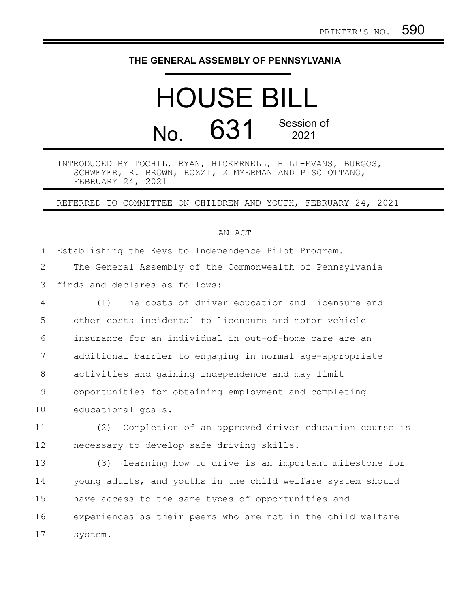## **THE GENERAL ASSEMBLY OF PENNSYLVANIA**

## HOUSE BILL No. 631 Session of 2021

## INTRODUCED BY TOOHIL, RYAN, HICKERNELL, HILL-EVANS, BURGOS, SCHWEYER, R. BROWN, ROZZI, ZIMMERMAN AND PISCIOTTANO, FEBRUARY 24, 2021

REFERRED TO COMMITTEE ON CHILDREN AND YOUTH, FEBRUARY 24, 2021

## AN ACT

| $\mathbf{1}$   | Establishing the Keys to Independence Pilot Program.        |
|----------------|-------------------------------------------------------------|
| 2              | The General Assembly of the Commonwealth of Pennsylvania    |
| 3              | finds and declares as follows:                              |
| 4              | The costs of driver education and licensure and<br>(1)      |
| 5              | other costs incidental to licensure and motor vehicle       |
| 6              | insurance for an individual in out-of-home care are an      |
| 7              | additional barrier to engaging in normal age-appropriate    |
| 8              | activities and gaining independence and may limit           |
| $\overline{9}$ | opportunities for obtaining employment and completing       |
| 10             | educational goals.                                          |
| 11             | (2) Completion of an approved driver education course is    |
| 12             | necessary to develop safe driving skills.                   |
| 13             | Learning how to drive is an important milestone for<br>(3)  |
| 14             | young adults, and youths in the child welfare system should |
| 15             | have access to the same types of opportunities and          |

experiences as their peers who are not in the child welfare system. 16 17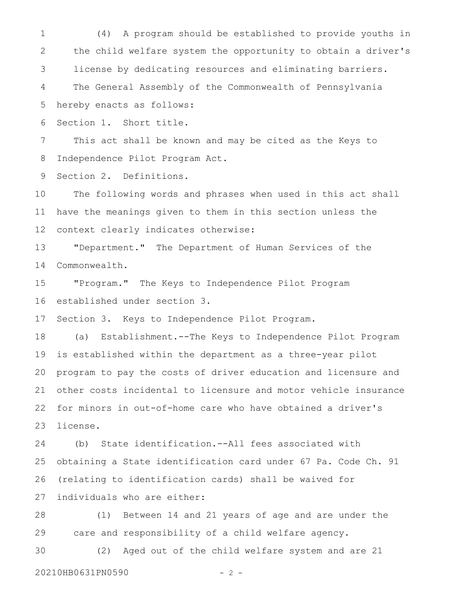(4) A program should be established to provide youths in the child welfare system the opportunity to obtain a driver's license by dedicating resources and eliminating barriers. The General Assembly of the Commonwealth of Pennsylvania 1 2 3 4

hereby enacts as follows: 5

Section 1. Short title. 6

This act shall be known and may be cited as the Keys to Independence Pilot Program Act. 7 8

Section 2. Definitions. 9

The following words and phrases when used in this act shall have the meanings given to them in this section unless the context clearly indicates otherwise: 10 11 12

"Department." The Department of Human Services of the Commonwealth. 13 14

"Program." The Keys to Independence Pilot Program established under section 3. 15 16

Section 3. Keys to Independence Pilot Program. 17

(a) Establishment.--The Keys to Independence Pilot Program is established within the department as a three-year pilot program to pay the costs of driver education and licensure and other costs incidental to licensure and motor vehicle insurance for minors in out-of-home care who have obtained a driver's license. 18 19 20 21 22 23

(b) State identification.--All fees associated with obtaining a State identification card under 67 Pa. Code Ch. 91 (relating to identification cards) shall be waived for individuals who are either: 24 25 26 27

(1) Between 14 and 21 years of age and are under the care and responsibility of a child welfare agency. 28 29

(2) Aged out of the child welfare system and are 21 30

20210HB0631PN0590 - 2 -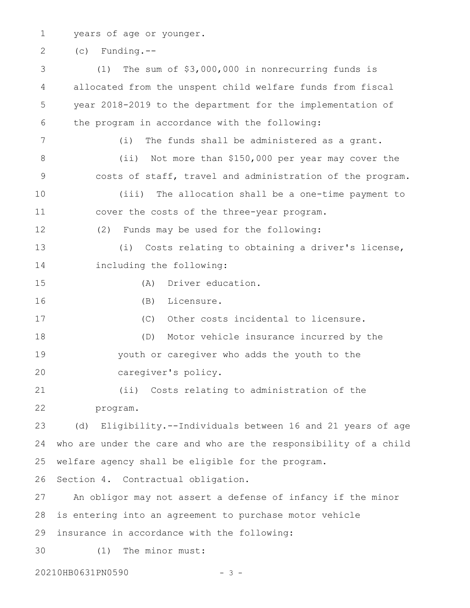years of age or younger. 1

(c) Funding.-- 2

(1) The sum of \$3,000,000 in nonrecurring funds is allocated from the unspent child welfare funds from fiscal year 2018-2019 to the department for the implementation of the program in accordance with the following: (i) The funds shall be administered as a grant. (ii) Not more than \$150,000 per year may cover the costs of staff, travel and administration of the program. (iii) The allocation shall be a one-time payment to cover the costs of the three-year program. (2) Funds may be used for the following: (i) Costs relating to obtaining a driver's license, including the following: (A) Driver education. (B) Licensure. (C) Other costs incidental to licensure. (D) Motor vehicle insurance incurred by the youth or caregiver who adds the youth to the caregiver's policy. (ii) Costs relating to administration of the program. (d) Eligibility.--Individuals between 16 and 21 years of age who are under the care and who are the responsibility of a child welfare agency shall be eligible for the program. Section 4. Contractual obligation. An obligor may not assert a defense of infancy if the minor is entering into an agreement to purchase motor vehicle insurance in accordance with the following: (1) The minor must: 20210HB0631PN0590 - 3 - 3 4 5 6 7 8 9 10 11 12 13 14 15 16 17 18 19 20 21 22 23 24 25 26 27 28 29 30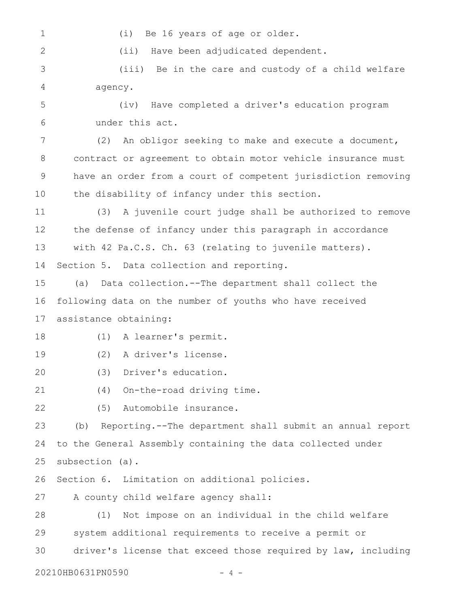1

2

(i) Be 16 years of age or older.

(ii) Have been adjudicated dependent.

(iii) Be in the care and custody of a child welfare agency. 3 4

(iv) Have completed a driver's education program under this act. 5 6

(2) An obligor seeking to make and execute a document, contract or agreement to obtain motor vehicle insurance must have an order from a court of competent jurisdiction removing the disability of infancy under this section. 7 8 9 10

(3) A juvenile court judge shall be authorized to remove the defense of infancy under this paragraph in accordance with 42 Pa.C.S. Ch. 63 (relating to juvenile matters). Section 5. Data collection and reporting. 11 12 13 14

(a) Data collection.--The department shall collect the following data on the number of youths who have received assistance obtaining: 15 16 17

(1) A learner's permit. 18

(2) A driver's license. 19

(3) Driver's education. 20

(4) On-the-road driving time. 21

(5) Automobile insurance. 22

(b) Reporting.--The department shall submit an annual report to the General Assembly containing the data collected under subsection (a). 23 24 25

Section 6. Limitation on additional policies. 26

A county child welfare agency shall: 27

(1) Not impose on an individual in the child welfare system additional requirements to receive a permit or driver's license that exceed those required by law, including 28 29 30

20210HB0631PN0590 - 4 -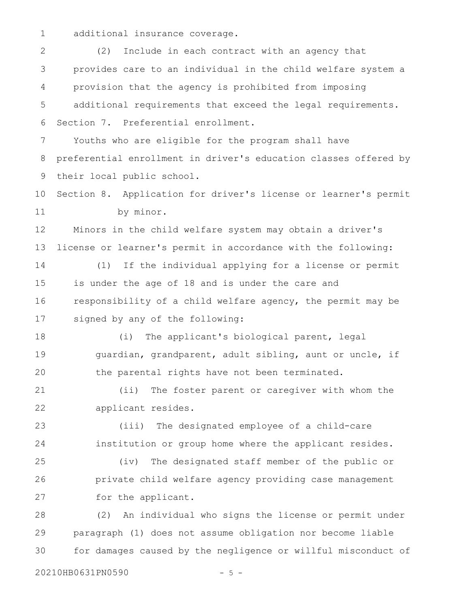additional insurance coverage. 1

(2) Include in each contract with an agency that provides care to an individual in the child welfare system a provision that the agency is prohibited from imposing additional requirements that exceed the legal requirements. Section 7. Preferential enrollment. Youths who are eligible for the program shall have preferential enrollment in driver's education classes offered by their local public school. Section 8. Application for driver's license or learner's permit by minor. Minors in the child welfare system may obtain a driver's license or learner's permit in accordance with the following: (1) If the individual applying for a license or permit is under the age of 18 and is under the care and responsibility of a child welfare agency, the permit may be signed by any of the following: (i) The applicant's biological parent, legal guardian, grandparent, adult sibling, aunt or uncle, if the parental rights have not been terminated. (ii) The foster parent or caregiver with whom the applicant resides. (iii) The designated employee of a child-care institution or group home where the applicant resides. (iv) The designated staff member of the public or private child welfare agency providing case management for the applicant. (2) An individual who signs the license or permit under paragraph (1) does not assume obligation nor become liable for damages caused by the negligence or willful misconduct of 2 3 4 5 6 7 8 9 10 11 12 13 14 15 16 17 18 19 20 21 22 23 24 25 26 27 28 29 30